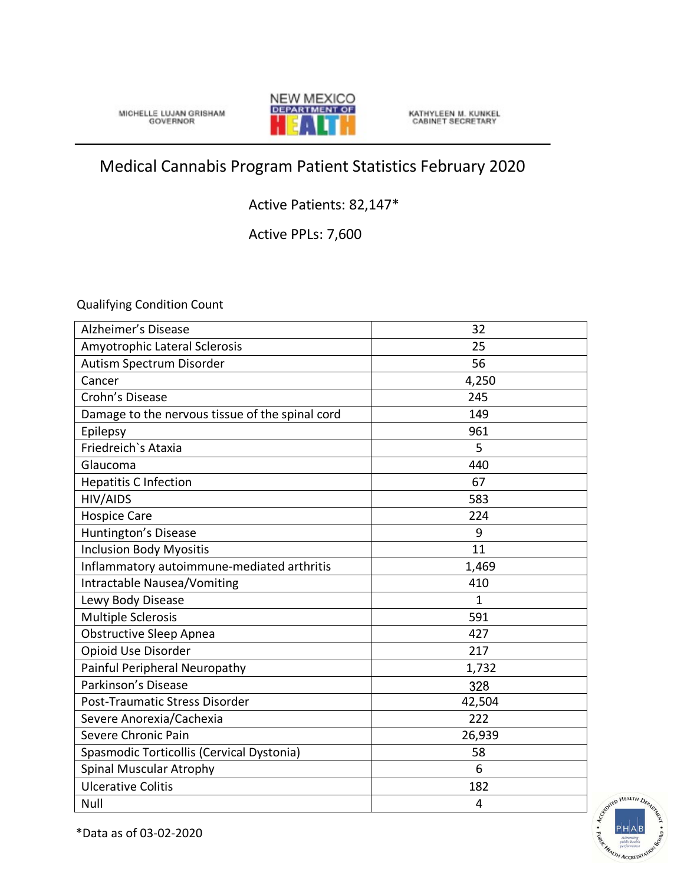MICHELLE LUJAN GRISHAM



KATHYLEEN M. KUNKEL<br>CABINET SECRETARY

## Medical Cannabis Program Patient Statistics February 2020

## Active Patients: 82,147\*

Active PPLs: 7,600

Qualifying Condition Count

| Alzheimer's Disease                             | 32             |
|-------------------------------------------------|----------------|
| Amyotrophic Lateral Sclerosis                   | 25             |
| Autism Spectrum Disorder                        | 56             |
| Cancer                                          | 4,250          |
| Crohn's Disease                                 | 245            |
| Damage to the nervous tissue of the spinal cord | 149            |
| Epilepsy                                        | 961            |
| Friedreich's Ataxia                             | 5              |
| Glaucoma                                        | 440            |
| <b>Hepatitis C Infection</b>                    | 67             |
| <b>HIV/AIDS</b>                                 | 583            |
| <b>Hospice Care</b>                             | 224            |
| Huntington's Disease                            | 9              |
| <b>Inclusion Body Myositis</b>                  | 11             |
| Inflammatory autoimmune-mediated arthritis      | 1,469          |
| Intractable Nausea/Vomiting                     | 410            |
| Lewy Body Disease                               | $\mathbf{1}$   |
| <b>Multiple Sclerosis</b>                       | 591            |
| <b>Obstructive Sleep Apnea</b>                  | 427            |
| Opioid Use Disorder                             | 217            |
| Painful Peripheral Neuropathy                   | 1,732          |
| Parkinson's Disease                             | 328            |
| Post-Traumatic Stress Disorder                  | 42,504         |
| Severe Anorexia/Cachexia                        | 222            |
| Severe Chronic Pain                             | 26,939         |
| Spasmodic Torticollis (Cervical Dystonia)       | 58             |
| <b>Spinal Muscular Atrophy</b>                  | 6              |
| <b>Ulcerative Colitis</b>                       | 182            |
| Null                                            | $\overline{4}$ |